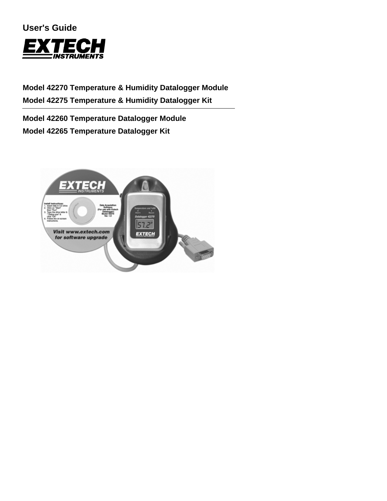## **User's Guide**



# **Model 42270 Temperature & Humidity Datalogger Module Model 42275 Temperature & Humidity Datalogger Kit**

**Model 42260 Temperature Datalogger Module Model 42265 Temperature Datalogger Kit** 

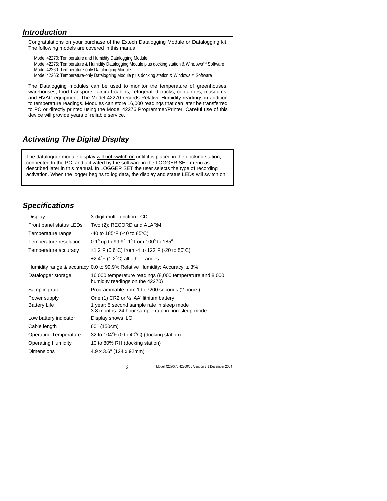## *Introduction*

Congratulations on your purchase of the Extech Datalogging Module or Datalogging kit. The following models are covered in this manual:

Model 42270: Temperature and Humidity Datalogging Module Model 42275: Temperature & Humidity Datalogging Module plus docking station & Windows™ Software Model 42260: Temperature-only Datalogging Module Model 42265: Temperature-only Datalogging Module plus docking station & Windows™ Software

The Datalogging modules can be used to monitor the temperature of greenhouses, warehouses, food transports, aircraft cabins, refrigerated trucks, containers, museums, and HVAC equipment. The Model 42270 records Relative Humidity readings in addition to temperature readings. Modules can store 16,000 readings that can later be transferred to PC or directly printed using the Model 42276 Programmer/Printer. Careful use of this device will provide years of reliable service.

## *Activating The Digital Display*

The datalogger module display will not switch on until it is placed in the docking station, connected to the PC, and activated by the software in the LOGGER SET menu as described later in this manual. In LOGGER SET the user selects the type of recording activation. When the logger begins to log data, the display and status LEDs will switch on.

## *Specifications*

| Display                      | 3-digit multi-function LCD                                                                      |
|------------------------------|-------------------------------------------------------------------------------------------------|
| Front panel status LEDs      | Two (2): RECORD and ALARM                                                                       |
| Temperature range            | -40 to 185 <sup>°</sup> F (-40 to 85 <sup>°</sup> C)                                            |
| Temperature resolution       | 0.1 $^{\circ}$ up to 99.9 $^{\circ}$ ; 1 $^{\circ}$ from 100 $^{\circ}$ to 185 $^{\circ}$       |
| Temperature accuracy         | $\pm$ 1.2°F (0.6°C) from -4 to 122°F (-20 to 50°C)                                              |
|                              | $\pm 2.4^{\circ}$ F (1.2 $^{\circ}$ C) all other ranges                                         |
|                              | Humidity range & accuracy 0.0 to 99.9% Relative Humidity; Accuracy: $\pm$ 3%                    |
| Datalogger storage           | 16,000 temperature readings (8,000 temperature and 8,000<br>humidity readings on the 42270)     |
| Sampling rate                | Programmable from 1 to 7200 seconds (2 hours)                                                   |
| Power supply                 | One (1) CR2 or $\frac{1}{2}$ 'AA' lithium battery                                               |
| <b>Battery Life</b>          | 1 year: 5 second sample rate in sleep mode<br>3.8 months: 24 hour sample rate in non-sleep mode |
| Low battery indicator        | Display shows 'LO'                                                                              |
| Cable length                 | 60" (150cm)                                                                                     |
| <b>Operating Temperature</b> | 32 to $104^{\circ}F$ (0 to $40^{\circ}C$ ) (docking station)                                    |
| <b>Operating Humidity</b>    | 10 to 80% RH (docking station)                                                                  |
| <b>Dimensions</b>            | $4.9 \times 3.6$ " (124 x 92mm)                                                                 |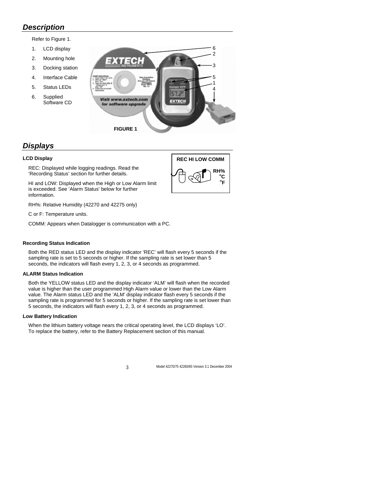### *Description*

Refer to Figure 1.

- 1. LCD display
- 2. Mounting hole
- 3. Docking station
- 4. Interface Cable
- 5. Status LEDs
- 6. Supplied Software CD



## *Displays*

#### **LCD Display**

REC: Displayed while logging readings. Read the 'Recording Status' section for further details.

HI and LOW: Displayed when the High or Low Alarm limit is exceeded. See 'Alarm Status' below for further information.

RH%: Relative Humidity (42270 and 42275 only)

C or F: Temperature units.

COMM: Appears when Datalogger is communication with a PC.

#### **Recording Status Indication**

Both the RED status LED and the display indicator 'REC' will flash every 5 seconds if the sampling rate is set to 5 seconds or higher. If the sampling rate is set lower than 5 seconds, the indicators will flash every 1, 2, 3, or 4 seconds as programmed.

#### **ALARM Status Indication**

Both the YELLOW status LED and the display indicator 'ALM' will flash when the recorded value is higher than the user programmed High Alarm value or lower than the Low Alarm value. The Alarm status LED and the 'ALM' display indicator flash every 5 seconds if the sampling rate is programmed for 5 seconds or higher. If the sampling rate is set lower than 5 seconds, the indicators will flash every 1, 2, 3, or 4 seconds as programmed.

#### **Low Battery Indication**

When the lithium battery voltage nears the critical operating level, the LCD displays 'LO'. To replace the battery, refer to the Battery Replacement section of this manual.

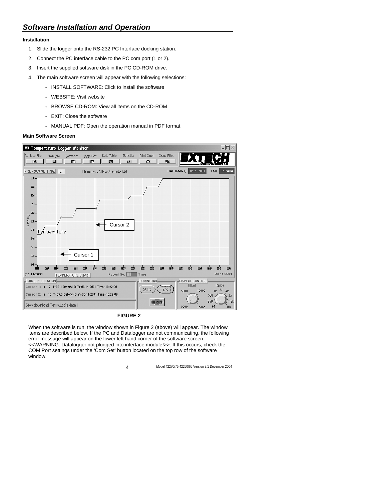### **Installation**

- 1. Slide the logger onto the RS-232 PC Interface docking station.
- 2. Connect the PC interface cable to the PC com port (1 or 2).
- 3. Insert the supplied software disk in the PC CD-ROM drive.
- 4. The main software screen will appear with the following selections:
	- INSTALL SOFTWARE: Click to install the software
	- WEBSITE: Visit website
	- BROWSE CD-ROM: View all items on the CD-ROM
	- EXIT: Close the software
	- MANUAL PDF: Open the operation manual in PDF format

#### **Main Software Screen**



#### **FIGURE 2**

When the software is run, the window shown in Figure 2 (above) will appear. The window items are described below. If the PC and Datalogger are not communicating, the following error message will appear on the lower left hand corner of the software screen. <<WARNING: Datalogger not plugged into interface module!>>. If this occurs, check the COM Port settings under the 'Com Set' button located on the top row of the software window.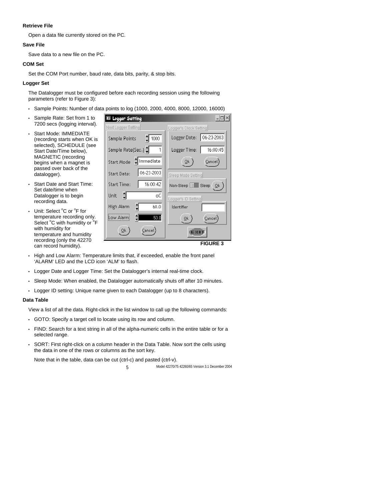#### **Retrieve File**

Open a data file currently stored on the PC.

#### **Save File**

Save data to a new file on the PC.

#### **COM Set**

Set the COM Port number, baud rate, data bits, parity, & stop bits.

#### **Logger Set**

The Datalogger must be configured before each recording session using the following parameters (refer to Figure 3):

- Sample Points: Number of data points to log (1000, 2000, 4000, 8000, 12000, 16000)
- Sample Rate: Set from 1 to 7200 secs (logging interval).
- Start Mode: IMMEDIATE (recording starts when OK is selected), SCHEDULE (see Start Date/Time below), MAGNETIC (recording begins when a magnet is passed over back of the datalogger).
- Start Date and Start Time: Set date/time when Datalogger is to begin recording data.
- Unit: Select °C or °F for temperature recording only. Select °C with humidity or °F with humidity for temperature and humidity recording (only the 42270 can record humidity).



**FIGURE 3** 

- High and Low Alarm: Temperature limits that, if exceeded, enable the front panel 'ALARM' LED and the LCD icon 'ALM' to flash.
- Logger Date and Logger Time: Set the Datalogger's internal real-time clock.
- Sleep Mode: When enabled, the Datalogger automatically shuts off after 10 minutes.
- Logger ID setting: Unique name given to each Datalogger (up to 8 characters).

#### **Data Table**

View a list of all the data. Right-click in the list window to call up the following commands:

- GOTO: Specify a target cell to locate using its row and column.
- FIND: Search for a text string in all of the alpha-numeric cells in the entire table or for a selected range.
- SORT: First right-click on a column header in the Data Table. Now sort the cells using the data in one of the rows or columns as the sort key.

Note that in the table, data can be cut (ctrl-c) and pasted (ctrl-v).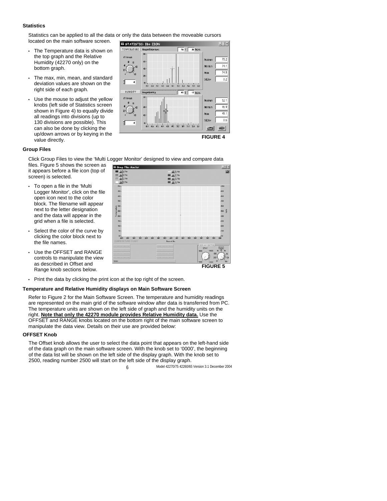#### **Statistics**

Statistics can be applied to all the data or only the data between the moveable cursors

located on the main software screen.

- The Temperature data is shown on the top graph and the Relative Humidity (42270 only) on the bottom graph.
- The max, min, mean, and standard deviation values are shown on the right side of each graph.
- Use the mouse to adjust the yellow knobs (left side of Statistics screen shown in Figure 4) to equally divide all readings into divisions (up to 130 divisions are possible). This can also be done by clicking the up/down arrows or by keying in the value directly.

**ET STATISTIC: ID= ZION**  $\Box$   $\times$  $\n **35 0 0 0 0 0 0 0 0 0 0 0 0 0 0 0 0 0 0 0 0 0 0 0 0 0 0 0 0 0 0**$ TEMPERATURE | #sogram#emperature 80 finien  $752$ Maximum  $74.1$ **Montum** g 74.8 **Moon**  $\mathbf{z}$ Std.Dev  $\overline{0}$ 41  $84 82$  $\overline{a}$ ..<br>Na ..<br>Nd Ň.  $\overline{a}$  $\overline{\mathbf{a}}$  $56$  $59$ HUMIDITY Histogram(Humidrity)  $\overline{43}$  %  $\overline{2}$  Record ancs. Maximum 52.1  $\overline{a}$ 46.9 'n **Montum**  $\blacksquare$ Mean  $48.1$  $\overline{u}$ Std.Dev  $0.6$  $\overline{4}$  $\blacksquare$ 202 209 212 224 331 Æ EXIT **FIGURE 4** 

#### **Group Files**

Click Group Files to view the 'Multi Logger Monitor' designed to view and compare data

files. Figure 5 shows the screen as it appears before a file icon (top of screen) is selected.

- To open a file in the 'Multi Logger Monitor', click on the file open icon next to the color block. The filename will appear next to the letter designation and the data will appear in the grid when a file is selected.
- Select the color of the curve by clicking the color block next to the file names.
- Use the OFFSFT and RANGE controls to manipulate the view as described in Offset and Range knob sections below.



**FIGURE 5** 

Print the data by clicking the print icon at the top right of the screen.

### **Temperature and Relative Humidity displays on Main Software Screen**

Refer to Figure 2 for the Main Software Screen. The temperature and humidity readings are represented on the main grid of the software window after data is transferred from PC. The temperature units are shown on the left side of graph and the humidity units on the right. **Note that only the 42270 module provides Relative Humidity data.** Use the OFFSET and RANGE knobs located on the bottom right of the main software screen to manipulate the data view. Details on their use are provided below:

### **OFFSET Knob**

The Offset knob allows the user to select the data point that appears on the left-hand side of the data graph on the main software screen. With the knob set to '0000', the beginning of the data list will be shown on the left side of the display graph. With the knob set to 2500, reading number 2500 will start on the left side of the display graph.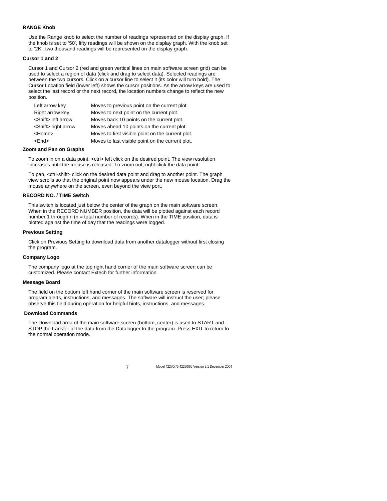#### **RANGE Knob**

Use the Range knob to select the number of readings represented on the display graph. If the knob is set to '50', fifty readings will be shown on the display graph. With the knob set to '2K', two thousand readings will be represented on the display graph.

#### **Cursor 1 and 2**

Cursor 1 and Cursor 2 (red and green vertical lines on main software screen grid) can be used to select a region of data (click and drag to select data). Selected readings are between the two cursors. Click on a cursor line to select it (its color will turn bold). The Cursor Location field (lower left) shows the cursor positions. As the arrow keys are used to select the last record or the next record, the location numbers change to reflect the new position.

| Left arrow key              | Moves to previous point on the current plot.      |
|-----------------------------|---------------------------------------------------|
| Right arrow key             | Moves to next point on the current plot.          |
| <shift> left arrow</shift>  | Moves back 10 points on the current plot.         |
| <shift> right arrow</shift> | Moves ahead 10 points on the current plot.        |
| <home></home>               | Moves to first visible point on the current plot. |
| <end></end>                 | Moves to last visible point on the current plot.  |

#### **Zoom and Pan on Graphs**

To zoom in on a data point, <ctrl> left click on the desired point. The view resolution increases until the mouse is released. To zoom out, right click the data point.

To pan, <ctrl-shift> click on the desired data point and drag to another point. The graph view scrolls so that the original point now appears under the new mouse location. Drag the mouse anywhere on the screen, even beyond the view port.

#### **RECORD NO. / TIME Switch**

This switch is located just below the center of the graph on the main software screen. When in the RECORD NUMBER position, the data will be plotted against each record number 1 through n ( $n =$  total number of records). When in the TIME position, data is plotted against the time of day that the readings were logged.

#### **Previous Setting**

Click on Previous Setting to download data from another datalogger without first closing the program.

#### **Company Logo**

The company logo at the top right hand corner of the main software screen can be customized. Please contact Extech for further information.

#### **Message Board**

The field on the bottom left hand corner of the main software screen is reserved for program alerts, instructions, and messages. The software will instruct the user; please observe this field during operation for helpful hints, instructions, and messages.

#### **Download Commands**

The Download area of the main software screen (bottom, center) is used to START and STOP the transfer of the data from the Datalogger to the program. Press EXIT to return to the normal operation mode.